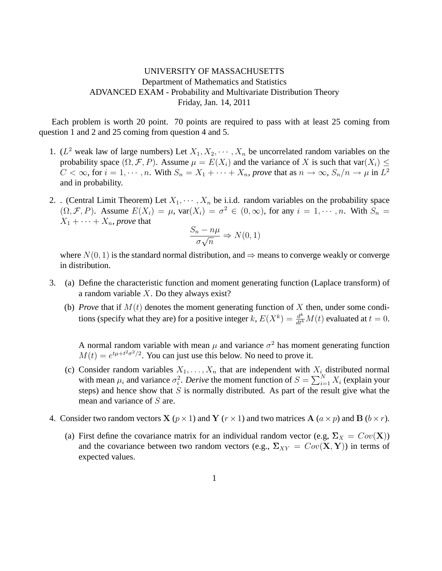## UNIVERSITY OF MASSACHUSETTS Department of Mathematics and Statistics ADVANCED EXAM - Probability and Multivariate Distribution Theory Friday, Jan. 14, 2011

Each problem is worth 20 point. 70 points are required to pass with at least 25 coming from question 1 and 2 and 25 coming from question 4 and 5.

- 1. ( $L^2$  weak law of large numbers) Let  $X_1, X_2, \cdots, X_n$  be uncorrelated random variables on the probability space  $(\Omega, \mathcal{F}, P)$ . Assume  $\mu = E(X_i)$  and the variance of X is such that var $(X_i) \leq$  $C<\infty$ , for  $i=1,\cdots,n.$  With  $S_n=X_1+\cdots+X_n$ , prove that as  $n\to\infty$ ,  $S_n/n\to\mu$  in  $L^2$ and in probability.
- 2. . (Central Limit Theorem) Let  $X_1, \dots, X_n$  be i.i.d. random variables on the probability space  $(\Omega, \mathcal{F}, P)$ . Assume  $E(X_i) = \mu$ ,  $var(X_i) = \sigma^2 \in (0, \infty)$ , for any  $i = 1, \dots, n$ . With  $S_n =$  $X_1 + \cdots + X_n$ , *prove* that

$$
\frac{S_n - n\mu}{\sigma\sqrt{n}} \Rightarrow N(0, 1)
$$

where  $N(0, 1)$  is the standard normal distribution, and  $\Rightarrow$  means to converge weakly or converge in distribution.

- 3. (a) Define the characteristic function and moment generating function (Laplace transform) of a random variable  $X$ . Do they always exist?
	- (b) *Prove* that if  $M(t)$  denotes the moment generating function of X then, under some conditions (specify what they are) for a positive integer k,  $E(X^k) = \frac{d^k}{dt^k}M(t)$  evaluated at  $t = 0$ .

A normal random variable with mean  $\mu$  and variance  $\sigma^2$  has moment generating function  $M(t) = e^{t\mu + t^2\sigma^2/2}$ . You can just use this below. No need to prove it.

- (c) Consider random variables  $X_1, \ldots, X_n$  that are independent with  $X_i$  distributed normal with mean  $\mu_i$  and variance  $\sigma_i^2$ . *Derive* the moment function of  $S = \sum_{i=1}^{N} X_i$  (explain your steps) and hence show that  $S$  is normally distributed. As part of the result give what the mean and variance of S are.
- 4. Consider two random vectors **X** ( $p \times 1$ ) and **Y** ( $r \times 1$ ) and two matrices **A** ( $a \times p$ ) and **B** ( $b \times r$ ).
	- (a) First define the covariance matrix for an individual random vector (e.g,  $\Sigma_X = Cov(\mathbf{X})$ ) and the covariance between two random vectors (e.g.,  $\Sigma_{XY} = Cov(\mathbf{X}, \mathbf{Y})$ ) in terms of expected values.